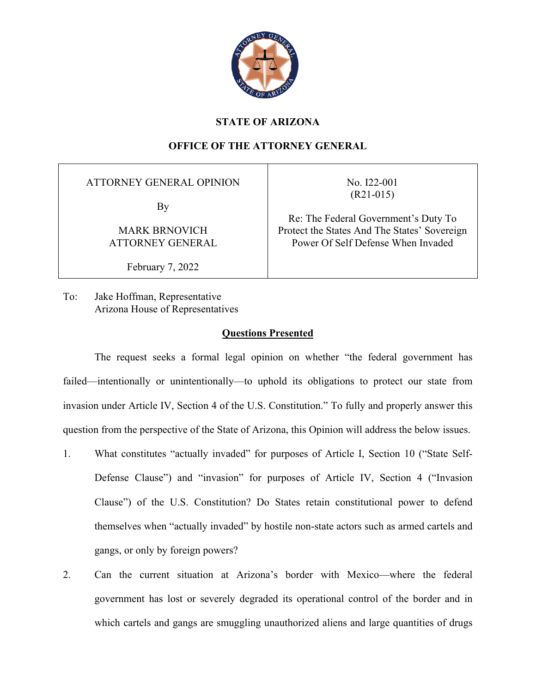

## **STATE OF ARIZONA**

# **OFFICE OF THE ATTORNEY GENERAL**

ATTORNEY GENERAL OPINION

By

MARK BRNOVICH ATTORNEY GENERAL

February 7, 2022

No. I22-001 (R21-015)

Re: The Federal Government's Duty To Protect the States And The States' Sovereign Power Of Self Defense When Invaded

To: Jake Hoffman, Representative Arizona House of Representatives

### **Questions Presented**

The request seeks a formal legal opinion on whether "the federal government has failed—intentionally or unintentionally—to uphold its obligations to protect our state from invasion under Article IV, Section 4 of the U.S. Constitution." To fully and properly answer this question from the perspective of the State of Arizona, this Opinion will address the below issues.

- 1. What constitutes "actually invaded" for purposes of Article I, Section 10 ("State Self-Defense Clause") and "invasion" for purposes of Article IV, Section 4 ("Invasion Clause") of the U.S. Constitution? Do States retain constitutional power to defend themselves when "actually invaded" by hostile non-state actors such as armed cartels and gangs, or only by foreign powers?
- 2. Can the current situation at Arizona's border with Mexico—where the federal government has lost or severely degraded its operational control of the border and in which cartels and gangs are smuggling unauthorized aliens and large quantities of drugs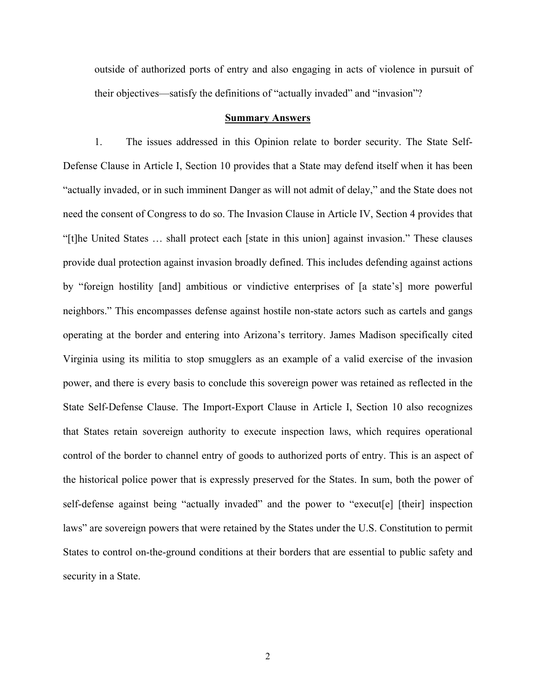outside of authorized ports of entry and also engaging in acts of violence in pursuit of their objectives—satisfy the definitions of "actually invaded" and "invasion"?

#### **Summary Answers**

1. The issues addressed in this Opinion relate to border security. The State Self-Defense Clause in Article I, Section 10 provides that a State may defend itself when it has been "actually invaded, or in such imminent Danger as will not admit of delay," and the State does not need the consent of Congress to do so. The Invasion Clause in Article IV, Section 4 provides that "[t]he United States … shall protect each [state in this union] against invasion." These clauses provide dual protection against invasion broadly defined. This includes defending against actions by "foreign hostility [and] ambitious or vindictive enterprises of [a state's] more powerful neighbors." This encompasses defense against hostile non-state actors such as cartels and gangs operating at the border and entering into Arizona's territory. James Madison specifically cited Virginia using its militia to stop smugglers as an example of a valid exercise of the invasion power, and there is every basis to conclude this sovereign power was retained as reflected in the State Self-Defense Clause. The Import-Export Clause in Article I, Section 10 also recognizes that States retain sovereign authority to execute inspection laws, which requires operational control of the border to channel entry of goods to authorized ports of entry. This is an aspect of the historical police power that is expressly preserved for the States. In sum, both the power of self-defense against being "actually invaded" and the power to "execut[e] [their] inspection laws" are sovereign powers that were retained by the States under the U.S. Constitution to permit States to control on-the-ground conditions at their borders that are essential to public safety and security in a State.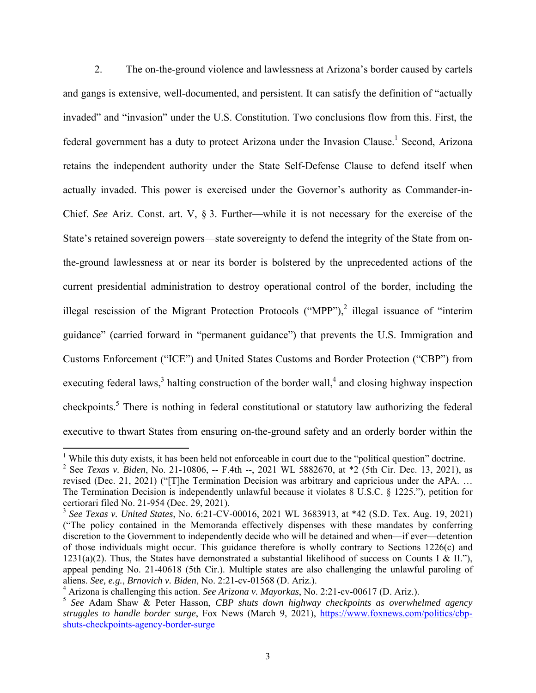2. The on-the-ground violence and lawlessness at Arizona's border caused by cartels and gangs is extensive, well-documented, and persistent. It can satisfy the definition of "actually invaded" and "invasion" under the U.S. Constitution. Two conclusions flow from this. First, the federal government has a duty to protect Arizona under the Invasion Clause.<sup>1</sup> Second, Arizona retains the independent authority under the State Self-Defense Clause to defend itself when actually invaded. This power is exercised under the Governor's authority as Commander-in-Chief. *See* Ariz. Const. art. V, § 3. Further—while it is not necessary for the exercise of the State's retained sovereign powers—state sovereignty to defend the integrity of the State from onthe-ground lawlessness at or near its border is bolstered by the unprecedented actions of the current presidential administration to destroy operational control of the border, including the illegal rescission of the Migrant Protection Protocols ("MPP"),<sup>2</sup> illegal issuance of "interim guidance" (carried forward in "permanent guidance") that prevents the U.S. Immigration and Customs Enforcement ("ICE") and United States Customs and Border Protection ("CBP") from executing federal laws,<sup>3</sup> halting construction of the border wall,<sup>4</sup> and closing highway inspection checkpoints.<sup>5</sup> There is nothing in federal constitutional or statutory law authorizing the federal executive to thwart States from ensuring on-the-ground safety and an orderly border within the

<sup>&</sup>lt;sup>1</sup> While this duty exists, it has been held not enforceable in court due to the "political question" doctrine.

<sup>2</sup> See *Texas v. Biden*, No. 21-10806, -- F.4th --, 2021 WL 5882670, at \*2 (5th Cir. Dec. 13, 2021), as revised (Dec. 21, 2021) ("[T]he Termination Decision was arbitrary and capricious under the APA. … The Termination Decision is independently unlawful because it violates 8 U.S.C. § 1225."), petition for certiorari filed No. 21-954 (Dec. 29, 2021).

<sup>3</sup> *See Texas v. United States*, No. 6:21-CV-00016, 2021 WL 3683913, at \*42 (S.D. Tex. Aug. 19, 2021) ("The policy contained in the Memoranda effectively dispenses with these mandates by conferring discretion to the Government to independently decide who will be detained and when—if ever—detention of those individuals might occur. This guidance therefore is wholly contrary to Sections 1226(c) and 1231(a)(2). Thus, the States have demonstrated a substantial likelihood of success on Counts I & II."), appeal pending No. 21-40618 (5th Cir.). Multiple states are also challenging the unlawful paroling of aliens. *See, e.g.*, *Brnovich v. Biden*, No. 2:21-cv-01568 (D. Ariz.).

<sup>4</sup> Arizona is challenging this action. *See Arizona v. Mayorkas*, No. 2:21-cv-00617 (D. Ariz.).

<sup>5</sup> *See* Adam Shaw & Peter Hasson, *CBP shuts down highway checkpoints as overwhelmed agency struggles to handle border surge*, Fox News (March 9, 2021), https://www.foxnews.com/politics/cbpshuts-checkpoints-agency-border-surge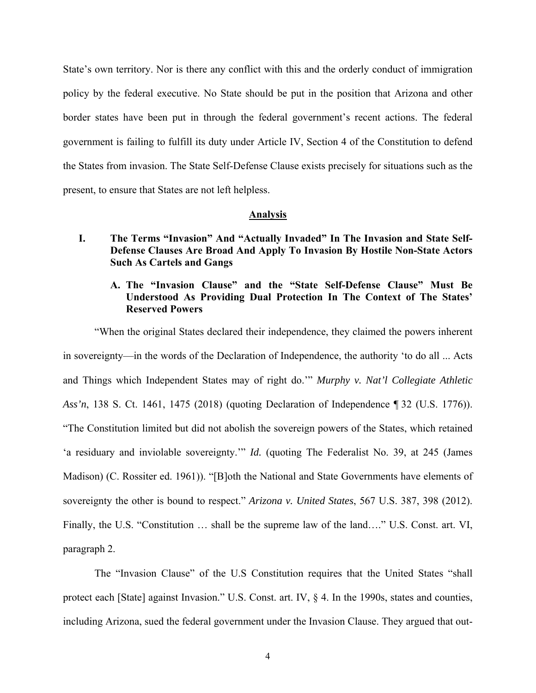State's own territory. Nor is there any conflict with this and the orderly conduct of immigration policy by the federal executive. No State should be put in the position that Arizona and other border states have been put in through the federal government's recent actions. The federal government is failing to fulfill its duty under Article IV, Section 4 of the Constitution to defend the States from invasion. The State Self-Defense Clause exists precisely for situations such as the present, to ensure that States are not left helpless.

#### **Analysis**

**I. The Terms "Invasion" And "Actually Invaded" In The Invasion and State Self-Defense Clauses Are Broad And Apply To Invasion By Hostile Non-State Actors Such As Cartels and Gangs** 

### **A. The "Invasion Clause" and the "State Self-Defense Clause" Must Be Understood As Providing Dual Protection In The Context of The States' Reserved Powers**

"When the original States declared their independence, they claimed the powers inherent in sovereignty—in the words of the Declaration of Independence, the authority 'to do all ... Acts and Things which Independent States may of right do.'" *Murphy v. Nat'l Collegiate Athletic Ass'n*, 138 S. Ct. 1461, 1475 (2018) (quoting Declaration of Independence ¶ 32 (U.S. 1776)). "The Constitution limited but did not abolish the sovereign powers of the States, which retained 'a residuary and inviolable sovereignty.'" *Id.* (quoting The Federalist No. 39, at 245 (James Madison) (C. Rossiter ed. 1961)). "[B]oth the National and State Governments have elements of sovereignty the other is bound to respect." *Arizona v. United States*, 567 U.S. 387, 398 (2012). Finally, the U.S. "Constitution … shall be the supreme law of the land…." U.S. Const. art. VI, paragraph 2.

The "Invasion Clause" of the U.S Constitution requires that the United States "shall protect each [State] against Invasion." U.S. Const. art. IV, § 4. In the 1990s, states and counties, including Arizona, sued the federal government under the Invasion Clause. They argued that out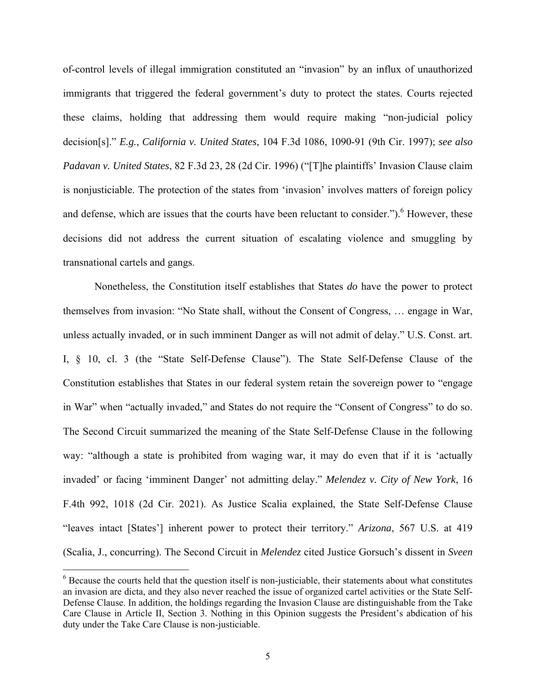of-control levels of illegal immigration constituted an "invasion" by an influx of unauthorized immigrants that triggered the federal government's duty to protect the states. Courts rejected these claims, holding that addressing them would require making "non-judicial policy decision[s]." *E.g.*, *California v. United States*, 104 F.3d 1086, 1090-91 (9th Cir. 1997); *see also Padavan v. United States*, 82 F.3d 23, 28 (2d Cir. 1996) ("[T]he plaintiffs' Invasion Clause claim is nonjusticiable. The protection of the states from 'invasion' involves matters of foreign policy and defense, which are issues that the courts have been reluctant to consider." $b$ . However, these decisions did not address the current situation of escalating violence and smuggling by transnational cartels and gangs.

Nonetheless, the Constitution itself establishes that States *do* have the power to protect themselves from invasion: "No State shall, without the Consent of Congress, … engage in War, unless actually invaded, or in such imminent Danger as will not admit of delay." U.S. Const. art. I, § 10, cl. 3 (the "State Self-Defense Clause"). The State Self-Defense Clause of the Constitution establishes that States in our federal system retain the sovereign power to "engage in War" when "actually invaded," and States do not require the "Consent of Congress" to do so. The Second Circuit summarized the meaning of the State Self-Defense Clause in the following way: "although a state is prohibited from waging war, it may do even that if it is 'actually invaded' or facing 'imminent Danger' not admitting delay." *Melendez v. City of New York*, 16 F.4th 992, 1018 (2d Cir. 2021). As Justice Scalia explained, the State Self-Defense Clause "leaves intact [States'] inherent power to protect their territory." *Arizona*, 567 U.S. at 419 (Scalia, J., concurring). The Second Circuit in *Melendez* cited Justice Gorsuch's dissent in *Sveen*

 $6$  Because the courts held that the question itself is non-justiciable, their statements about what constitutes an invasion are dicta, and they also never reached the issue of organized cartel activities or the State Self-Defense Clause. In addition, the holdings regarding the Invasion Clause are distinguishable from the Take Care Clause in Article II, Section 3. Nothing in this Opinion suggests the President's abdication of his duty under the Take Care Clause is non-justiciable.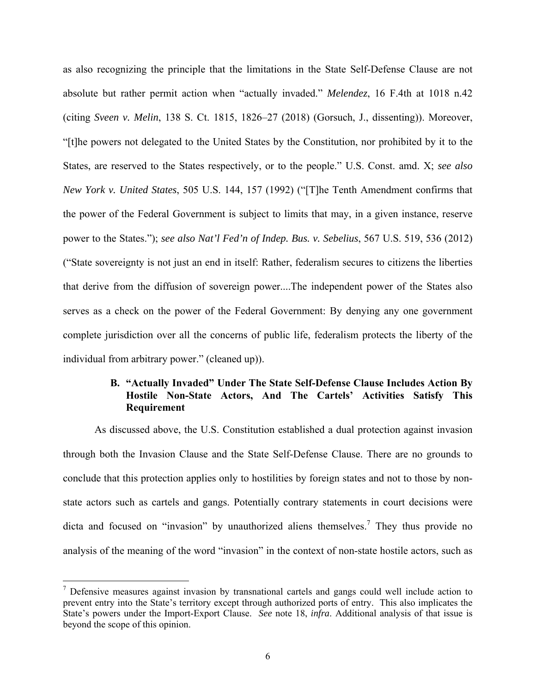as also recognizing the principle that the limitations in the State Self-Defense Clause are not absolute but rather permit action when "actually invaded." *Melendez*, 16 F.4th at 1018 n.42 (citing *Sveen v. Melin*, 138 S. Ct. 1815, 1826–27 (2018) (Gorsuch, J., dissenting)). Moreover, "[t]he powers not delegated to the United States by the Constitution, nor prohibited by it to the States, are reserved to the States respectively, or to the people." U.S. Const. amd. X; *see also New York v. United States*, 505 U.S. 144, 157 (1992) ("[T]he Tenth Amendment confirms that the power of the Federal Government is subject to limits that may, in a given instance, reserve power to the States."); *see also Nat'l Fed'n of Indep. Bus. v. Sebelius*, 567 U.S. 519, 536 (2012) ("State sovereignty is not just an end in itself: Rather, federalism secures to citizens the liberties that derive from the diffusion of sovereign power....The independent power of the States also serves as a check on the power of the Federal Government: By denying any one government complete jurisdiction over all the concerns of public life, federalism protects the liberty of the individual from arbitrary power." (cleaned up)).

### **B. "Actually Invaded" Under The State Self-Defense Clause Includes Action By Hostile Non-State Actors, And The Cartels' Activities Satisfy This Requirement**

As discussed above, the U.S. Constitution established a dual protection against invasion through both the Invasion Clause and the State Self-Defense Clause. There are no grounds to conclude that this protection applies only to hostilities by foreign states and not to those by nonstate actors such as cartels and gangs. Potentially contrary statements in court decisions were dicta and focused on "invasion" by unauthorized aliens themselves.<sup>7</sup> They thus provide no analysis of the meaning of the word "invasion" in the context of non-state hostile actors, such as

 $<sup>7</sup>$  Defensive measures against invasion by transnational cartels and gangs could well include action to</sup> prevent entry into the State's territory except through authorized ports of entry. This also implicates the State's powers under the Import-Export Clause. *See* note 18, *infra*. Additional analysis of that issue is beyond the scope of this opinion.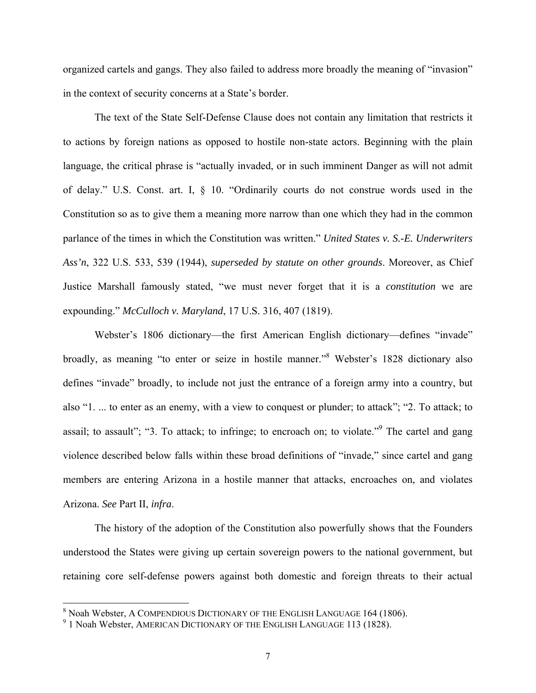organized cartels and gangs. They also failed to address more broadly the meaning of "invasion" in the context of security concerns at a State's border.

The text of the State Self-Defense Clause does not contain any limitation that restricts it to actions by foreign nations as opposed to hostile non-state actors. Beginning with the plain language, the critical phrase is "actually invaded, or in such imminent Danger as will not admit of delay." U.S. Const. art. I, § 10. "Ordinarily courts do not construe words used in the Constitution so as to give them a meaning more narrow than one which they had in the common parlance of the times in which the Constitution was written." *United States v. S.-E. Underwriters Ass'n*, 322 U.S. 533, 539 (1944), *superseded by statute on other grounds*. Moreover, as Chief Justice Marshall famously stated, "we must never forget that it is a *constitution* we are expounding." *McCulloch v. Maryland*, 17 U.S. 316, 407 (1819).

Webster's 1806 dictionary—the first American English dictionary—defines "invade" broadly, as meaning "to enter or seize in hostile manner."<sup>8</sup> Webster's 1828 dictionary also defines "invade" broadly, to include not just the entrance of a foreign army into a country, but also "1. ... to enter as an enemy, with a view to conquest or plunder; to attack"; "2. To attack; to assail; to assault"; "3. To attack; to infringe; to encroach on; to violate."<sup>9</sup> The cartel and gang violence described below falls within these broad definitions of "invade," since cartel and gang members are entering Arizona in a hostile manner that attacks, encroaches on, and violates Arizona. *See* Part II, *infra*.

The history of the adoption of the Constitution also powerfully shows that the Founders understood the States were giving up certain sovereign powers to the national government, but retaining core self-defense powers against both domestic and foreign threats to their actual

 8 Noah Webster, A COMPENDIOUS DICTIONARY OF THE ENGLISH LANGUAGE 164 (1806).

 $^9$  1 Noah Webster, AMERICAN DICTIONARY OF THE ENGLISH LANGUAGE 113 (1828).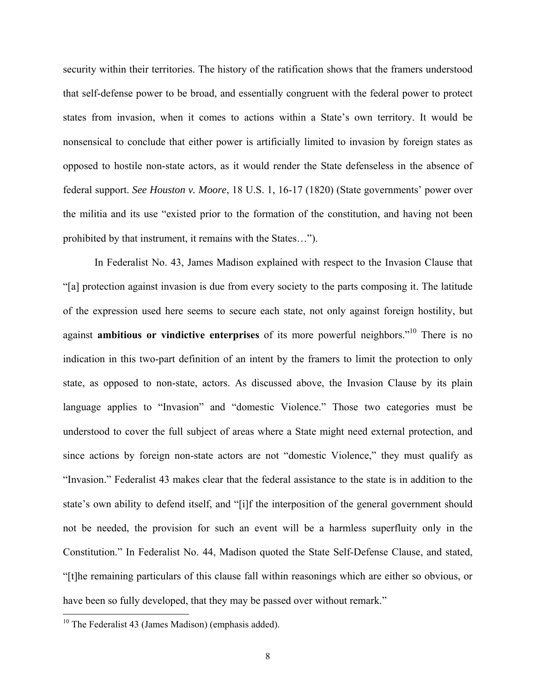security within their territories. The history of the ratification shows that the framers understood that self-defense power to be broad, and essentially congruent with the federal power to protect states from invasion, when it comes to actions within a State's own territory. It would be nonsensical to conclude that either power is artificially limited to invasion by foreign states as opposed to hostile non-state actors, as it would render the State defenseless in the absence of federal support. *See Houston v. Moore*, 18 U.S. 1, 16-17 (1820) (State governments' power over the militia and its use "existed prior to the formation of the constitution, and having not been prohibited by that instrument, it remains with the States…").

In Federalist No. 43, James Madison explained with respect to the Invasion Clause that "[a] protection against invasion is due from every society to the parts composing it. The latitude of the expression used here seems to secure each state, not only against foreign hostility, but against **ambitious or vindictive enterprises** of its more powerful neighbors."10 There is no indication in this two-part definition of an intent by the framers to limit the protection to only state, as opposed to non-state, actors. As discussed above, the Invasion Clause by its plain language applies to "Invasion" and "domestic Violence." Those two categories must be understood to cover the full subject of areas where a State might need external protection, and since actions by foreign non-state actors are not "domestic Violence," they must qualify as "Invasion." Federalist 43 makes clear that the federal assistance to the state is in addition to the state's own ability to defend itself, and "[i]f the interposition of the general government should not be needed, the provision for such an event will be a harmless superfluity only in the Constitution." In Federalist No. 44, Madison quoted the State Self-Defense Clause, and stated, "[t]he remaining particulars of this clause fall within reasonings which are either so obvious, or have been so fully developed, that they may be passed over without remark."

 $10$  The Federalist 43 (James Madison) (emphasis added).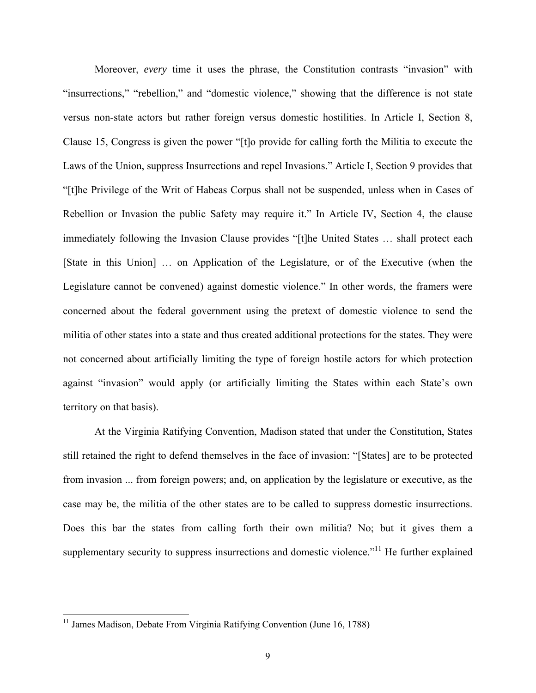Moreover, *every* time it uses the phrase, the Constitution contrasts "invasion" with "insurrections," "rebellion," and "domestic violence," showing that the difference is not state versus non-state actors but rather foreign versus domestic hostilities. In Article I, Section 8, Clause 15, Congress is given the power "[t]o provide for calling forth the Militia to execute the Laws of the Union, suppress Insurrections and repel Invasions." Article I, Section 9 provides that "[t]he Privilege of the Writ of Habeas Corpus shall not be suspended, unless when in Cases of Rebellion or Invasion the public Safety may require it." In Article IV, Section 4, the clause immediately following the Invasion Clause provides "[t]he United States … shall protect each [State in this Union] … on Application of the Legislature, or of the Executive (when the Legislature cannot be convened) against domestic violence." In other words, the framers were concerned about the federal government using the pretext of domestic violence to send the militia of other states into a state and thus created additional protections for the states. They were not concerned about artificially limiting the type of foreign hostile actors for which protection against "invasion" would apply (or artificially limiting the States within each State's own territory on that basis).

At the Virginia Ratifying Convention, Madison stated that under the Constitution, States still retained the right to defend themselves in the face of invasion: "[States] are to be protected from invasion ... from foreign powers; and, on application by the legislature or executive, as the case may be, the militia of the other states are to be called to suppress domestic insurrections. Does this bar the states from calling forth their own militia? No; but it gives them a supplementary security to suppress insurrections and domestic violence."<sup>11</sup> He further explained

<sup>&</sup>lt;sup>11</sup> James Madison, Debate From Virginia Ratifying Convention (June 16, 1788)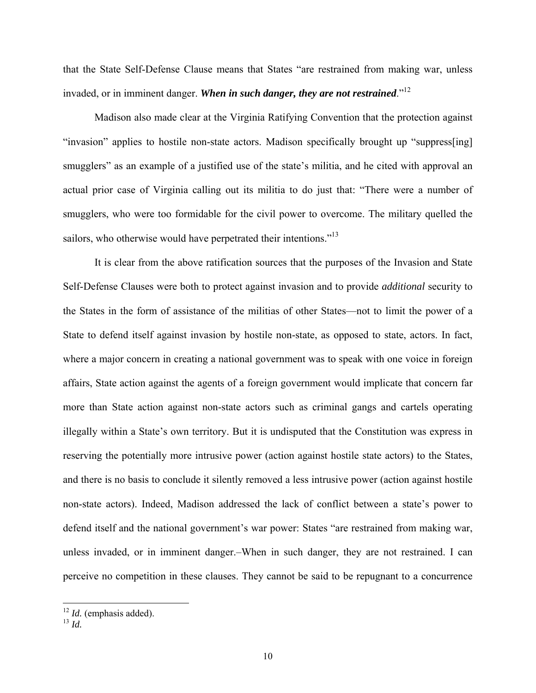that the State Self-Defense Clause means that States "are restrained from making war, unless invaded, or in imminent danger. When in such danger, they are not restrained."<sup>12</sup>

Madison also made clear at the Virginia Ratifying Convention that the protection against "invasion" applies to hostile non-state actors. Madison specifically brought up "suppress[ing] smugglers" as an example of a justified use of the state's militia, and he cited with approval an actual prior case of Virginia calling out its militia to do just that: "There were a number of smugglers, who were too formidable for the civil power to overcome. The military quelled the sailors, who otherwise would have perpetrated their intentions."<sup>13</sup>

It is clear from the above ratification sources that the purposes of the Invasion and State Self-Defense Clauses were both to protect against invasion and to provide *additional* security to the States in the form of assistance of the militias of other States—not to limit the power of a State to defend itself against invasion by hostile non-state, as opposed to state, actors. In fact, where a major concern in creating a national government was to speak with one voice in foreign affairs, State action against the agents of a foreign government would implicate that concern far more than State action against non-state actors such as criminal gangs and cartels operating illegally within a State's own territory. But it is undisputed that the Constitution was express in reserving the potentially more intrusive power (action against hostile state actors) to the States, and there is no basis to conclude it silently removed a less intrusive power (action against hostile non-state actors). Indeed, Madison addressed the lack of conflict between a state's power to defend itself and the national government's war power: States "are restrained from making war, unless invaded, or in imminent danger.–When in such danger, they are not restrained. I can perceive no competition in these clauses. They cannot be said to be repugnant to a concurrence

<sup>13</sup> *Id.*

<sup>12</sup> *Id.* (emphasis added).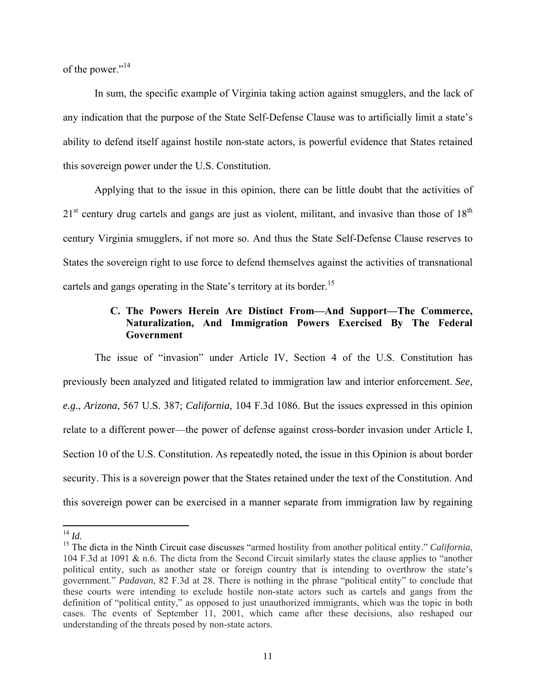of the power."<sup>14</sup>

In sum, the specific example of Virginia taking action against smugglers, and the lack of any indication that the purpose of the State Self-Defense Clause was to artificially limit a state's ability to defend itself against hostile non-state actors, is powerful evidence that States retained this sovereign power under the U.S. Constitution.

Applying that to the issue in this opinion, there can be little doubt that the activities of  $21<sup>st</sup>$  century drug cartels and gangs are just as violent, militant, and invasive than those of  $18<sup>th</sup>$ century Virginia smugglers, if not more so. And thus the State Self-Defense Clause reserves to States the sovereign right to use force to defend themselves against the activities of transnational cartels and gangs operating in the State's territory at its border.<sup>15</sup>

### **C. The Powers Herein Are Distinct From—And Support—The Commerce, Naturalization, And Immigration Powers Exercised By The Federal Government**

The issue of "invasion" under Article IV, Section 4 of the U.S. Constitution has previously been analyzed and litigated related to immigration law and interior enforcement. *See, e.g.*, *Arizona*, 567 U.S. 387; *California,* 104 F.3d 1086. But the issues expressed in this opinion relate to a different power—the power of defense against cross-border invasion under Article I, Section 10 of the U.S. Constitution. As repeatedly noted, the issue in this Opinion is about border security. This is a sovereign power that the States retained under the text of the Constitution. And this sovereign power can be exercised in a manner separate from immigration law by regaining

 <sup>14</sup> *Id.*

<sup>&</sup>lt;sup>15</sup> The dicta in the Ninth Circuit case discusses "armed hostility from another political entity." *California*, 104 F.3d at 1091 & n.6. The dicta from the Second Circuit similarly states the clause applies to "another political entity, such as another state or foreign country that is intending to overthrow the state's government." *Padavan*, 82 F.3d at 28. There is nothing in the phrase "political entity" to conclude that these courts were intending to exclude hostile non-state actors such as cartels and gangs from the definition of "political entity," as opposed to just unauthorized immigrants, which was the topic in both cases. The events of September 11, 2001, which came after these decisions, also reshaped our understanding of the threats posed by non-state actors.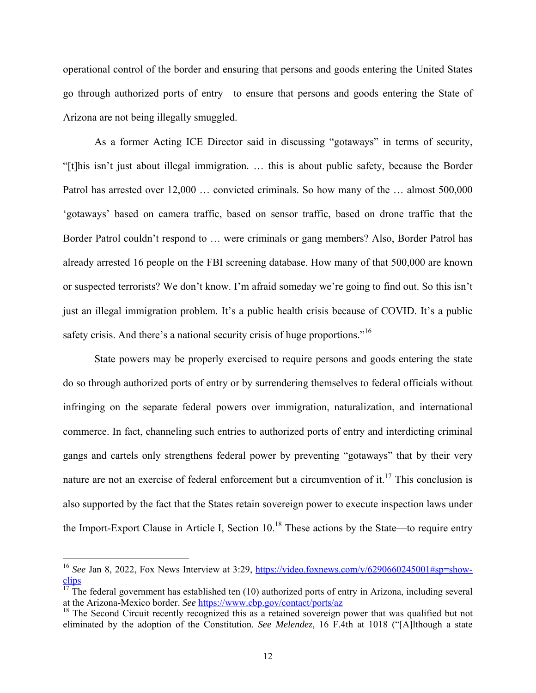operational control of the border and ensuring that persons and goods entering the United States go through authorized ports of entry—to ensure that persons and goods entering the State of Arizona are not being illegally smuggled.

As a former Acting ICE Director said in discussing "gotaways" in terms of security, "[t]his isn't just about illegal immigration. … this is about public safety, because the Border Patrol has arrested over 12,000 … convicted criminals. So how many of the … almost 500,000 'gotaways' based on camera traffic, based on sensor traffic, based on drone traffic that the Border Patrol couldn't respond to … were criminals or gang members? Also, Border Patrol has already arrested 16 people on the FBI screening database. How many of that 500,000 are known or suspected terrorists? We don't know. I'm afraid someday we're going to find out. So this isn't just an illegal immigration problem. It's a public health crisis because of COVID. It's a public safety crisis. And there's a national security crisis of huge proportions."<sup>16</sup>

State powers may be properly exercised to require persons and goods entering the state do so through authorized ports of entry or by surrendering themselves to federal officials without infringing on the separate federal powers over immigration, naturalization, and international commerce. In fact, channeling such entries to authorized ports of entry and interdicting criminal gangs and cartels only strengthens federal power by preventing "gotaways" that by their very nature are not an exercise of federal enforcement but a circumvention of it.<sup>17</sup> This conclusion is also supported by the fact that the States retain sovereign power to execute inspection laws under the Import-Export Clause in Article I, Section  $10<sup>18</sup>$  These actions by the State—to require entry

<sup>&</sup>lt;sup>16</sup> See Jan 8, 2022, Fox News Interview at 3:29, https://video.foxnews.com/v/6290660245001#sp=showclips

 $\frac{17}{17}$  The federal government has established ten (10) authorized ports of entry in Arizona, including several at the Arizona-Mexico border. *See* https://www.cbp.gov/contact/ports/az

 $18$  The Second Circuit recently recognized this as a retained sovereign power that was qualified but not eliminated by the adoption of the Constitution. *See Melendez*, 16 F.4th at 1018 ("[A]lthough a state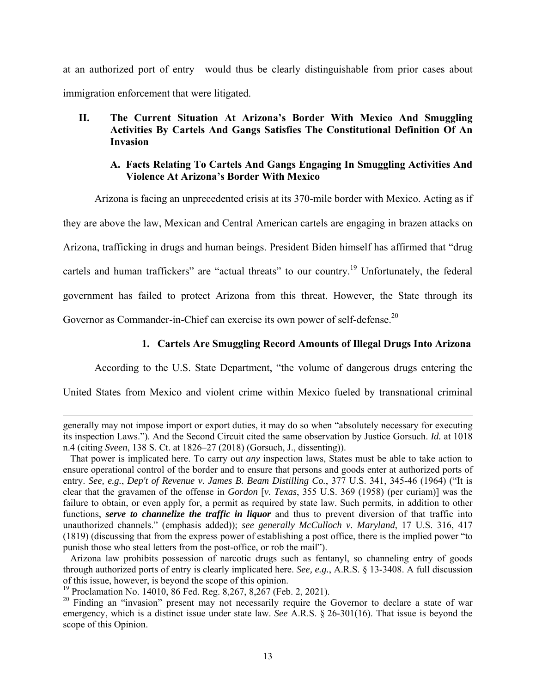at an authorized port of entry—would thus be clearly distinguishable from prior cases about immigration enforcement that were litigated.

### **II. The Current Situation At Arizona's Border With Mexico And Smuggling Activities By Cartels And Gangs Satisfies The Constitutional Definition Of An Invasion**

#### **A. Facts Relating To Cartels And Gangs Engaging In Smuggling Activities And Violence At Arizona's Border With Mexico**

Arizona is facing an unprecedented crisis at its 370-mile border with Mexico. Acting as if

they are above the law, Mexican and Central American cartels are engaging in brazen attacks on Arizona, trafficking in drugs and human beings. President Biden himself has affirmed that "drug cartels and human traffickers" are "actual threats" to our country.<sup>19</sup> Unfortunately, the federal government has failed to protect Arizona from this threat. However, the State through its Governor as Commander-in-Chief can exercise its own power of self-defense.<sup>20</sup>

### **1. Cartels Are Smuggling Record Amounts of Illegal Drugs Into Arizona**

According to the U.S. State Department, "the volume of dangerous drugs entering the

United States from Mexico and violent crime within Mexico fueled by transnational criminal

<u> 1989 - Johann Stein, marwolaethau a gweledydd a ganrad y ganrad y ganrad y ganrad y ganrad y ganrad y ganrad</u>

generally may not impose import or export duties, it may do so when "absolutely necessary for executing its inspection Laws."). And the Second Circuit cited the same observation by Justice Gorsuch. *Id.* at 1018 n.4 (citing *Sveen*, 138 S. Ct. at 1826–27 (2018) (Gorsuch, J., dissenting)).

That power is implicated here. To carry out *any* inspection laws, States must be able to take action to ensure operational control of the border and to ensure that persons and goods enter at authorized ports of entry. *See, e.g.*, *Dep't of Revenue v. James B. Beam Distilling Co.*, 377 U.S. 341, 345-46 (1964) ("It is clear that the gravamen of the offense in *Gordon* [*v. Texas*, 355 U.S. 369 (1958) (per curiam)] was the failure to obtain, or even apply for, a permit as required by state law. Such permits, in addition to other functions, *serve to channelize the traffic in liquor* and thus to prevent diversion of that traffic into unauthorized channels." (emphasis added)); *see generally McCulloch v. Maryland*, 17 U.S. 316, 417 (1819) (discussing that from the express power of establishing a post office, there is the implied power "to punish those who steal letters from the post-office, or rob the mail").

Arizona law prohibits possession of narcotic drugs such as fentanyl, so channeling entry of goods through authorized ports of entry is clearly implicated here. *See, e.g.*, A.R.S. § 13-3408. A full discussion of this issue, however, is beyond the scope of this opinion.

<sup>&</sup>lt;sup>19</sup> Proclamation No. 14010, 86 Fed. Reg. 8,267, 8,267 (Feb. 2, 2021).

<sup>&</sup>lt;sup>20</sup> Finding an "invasion" present may not necessarily require the Governor to declare a state of war emergency, which is a distinct issue under state law. *See* A.R.S. § 26-301(16). That issue is beyond the scope of this Opinion.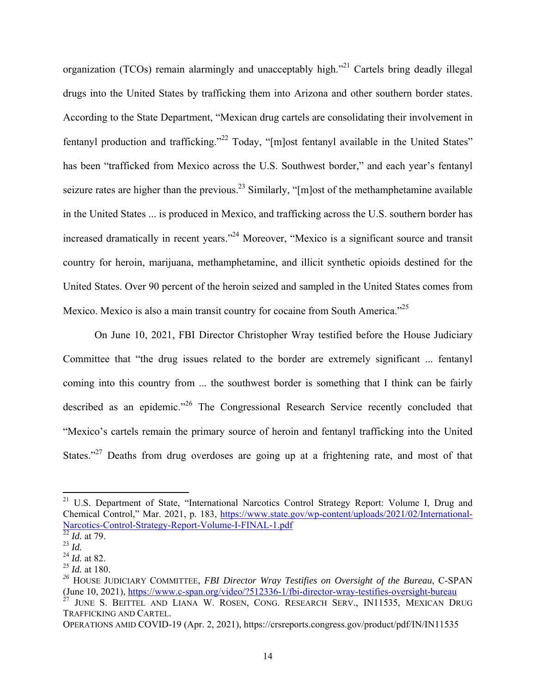organization (TCOs) remain alarmingly and unacceptably high."<sup>21</sup> Cartels bring deadly illegal drugs into the United States by trafficking them into Arizona and other southern border states. According to the State Department, "Mexican drug cartels are consolidating their involvement in fentanyl production and trafficking."<sup>22</sup> Today, "[m]ost fentanyl available in the United States" has been "trafficked from Mexico across the U.S. Southwest border," and each year's fentanyl seizure rates are higher than the previous.<sup>23</sup> Similarly, " $[m]$ ost of the methamphetamine available in the United States ... is produced in Mexico, and trafficking across the U.S. southern border has increased dramatically in recent years."24 Moreover, "Mexico is a significant source and transit country for heroin, marijuana, methamphetamine, and illicit synthetic opioids destined for the United States. Over 90 percent of the heroin seized and sampled in the United States comes from Mexico. Mexico is also a main transit country for cocaine from South America."<sup>25</sup>

On June 10, 2021, FBI Director Christopher Wray testified before the House Judiciary Committee that "the drug issues related to the border are extremely significant ... fentanyl coming into this country from ... the southwest border is something that I think can be fairly described as an epidemic."<sup>26</sup> The Congressional Research Service recently concluded that "Mexico's cartels remain the primary source of heroin and fentanyl trafficking into the United States."<sup>27</sup> Deaths from drug overdoses are going up at a frightening rate, and most of that

<sup>&</sup>lt;sup>21</sup> U.S. Department of State, "International Narcotics Control Strategy Report: Volume I, Drug and Chemical Control," Mar. 2021, p. 183, https://www.state.gov/wp-content/uploads/2021/02/International-Narcotics-Control-Strategy-Report-Volume-I-FINAL-1.pdf<br><sup>22</sup> *Id.* at 79.

<sup>23</sup> *Id.*

<sup>24</sup> *Id.* at 82.

 $^{25}$  *Id.* at 180.

*<sup>26</sup>* HOUSE JUDICIARY COMMITTEE, *FBI Director Wray Testifies on Oversight of the Bureau*, C-SPAN (June 10, 2021), https://www.c-span.org/video/?512336-1/fbi-director-wray-testifies-oversight-bureau  $^{27}$  IUNE S. BEITTEL AND LIAM. WE BECAUSE CONSILING THE S. JUNE S. BEITTEL AND LIANA W. ROSEN, CONG. RESEARCH SERV., IN11535, MEXICAN DRUG

TRAFFICKING AND CARTEL.

OPERATIONS AMID COVID-19 (Apr. 2, 2021), https://crsreports.congress.gov/product/pdf/IN/IN11535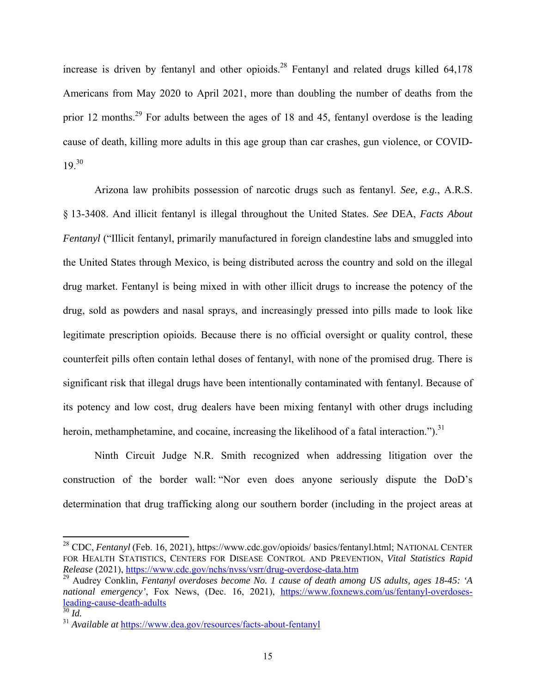increase is driven by fentanyl and other opioids.<sup>28</sup> Fentanyl and related drugs killed  $64,178$ Americans from May 2020 to April 2021, more than doubling the number of deaths from the prior 12 months.<sup>29</sup> For adults between the ages of 18 and 45, fentanyl overdose is the leading cause of death, killing more adults in this age group than car crashes, gun violence, or COVID- $19.30$ 

Arizona law prohibits possession of narcotic drugs such as fentanyl. *See, e.g.*, A.R.S. § 13-3408. And illicit fentanyl is illegal throughout the United States. *See* DEA, *Facts About Fentanyl* ("Illicit fentanyl, primarily manufactured in foreign clandestine labs and smuggled into the United States through Mexico, is being distributed across the country and sold on the illegal drug market. Fentanyl is being mixed in with other illicit drugs to increase the potency of the drug, sold as powders and nasal sprays, and increasingly pressed into pills made to look like legitimate prescription opioids. Because there is no official oversight or quality control, these counterfeit pills often contain lethal doses of fentanyl, with none of the promised drug. There is significant risk that illegal drugs have been intentionally contaminated with fentanyl. Because of its potency and low cost, drug dealers have been mixing fentanyl with other drugs including heroin, methamphetamine, and cocaine, increasing the likelihood of a fatal interaction.").<sup>31</sup>

Ninth Circuit Judge N.R. Smith recognized when addressing litigation over the construction of the border wall: "Nor even does anyone seriously dispute the DoD's determination that drug trafficking along our southern border (including in the project areas at

<sup>28</sup> CDC, *Fentanyl* (Feb. 16, 2021), https://www.cdc.gov/opioids/ basics/fentanyl.html; NATIONAL CENTER FOR HEALTH STATISTICS, CENTERS FOR DISEASE CONTROL AND PREVENTION, *Vital Statistics Rapid Release* (2021), https://www.cdc.gov/nchs/nvss/vsrr/drug-overdose-data.htm

<sup>&</sup>lt;sup>29</sup> Audrey Conklin, *Fentanyl overdoses become No. 1 cause of death among US adults, ages 18-45: 'A national emergency'*, Fox News, (Dec. 16, 2021), https://www.foxnews.com/us/fentanyl-overdosesleading-cause-death-adults 30 *Id.*

<sup>31</sup> *Available at* https://www.dea.gov/resources/facts-about-fentanyl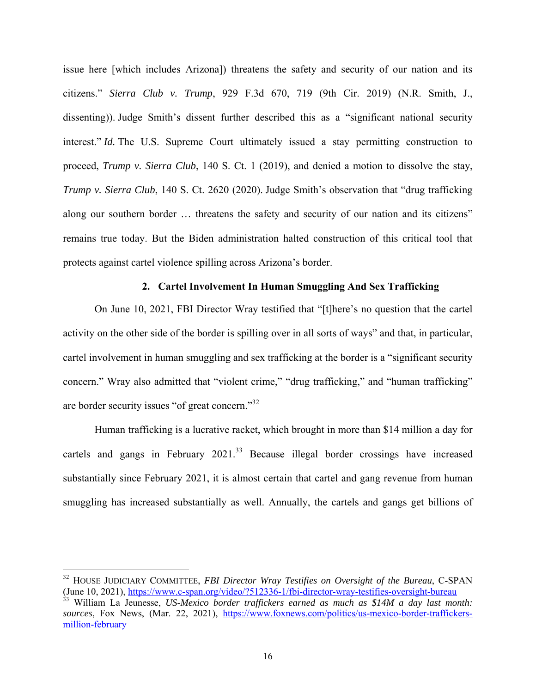issue here [which includes Arizona]) threatens the safety and security of our nation and its citizens." *Sierra Club v. Trump*, 929 F.3d 670, 719 (9th Cir. 2019) (N.R. Smith, J., dissenting)). Judge Smith's dissent further described this as a "significant national security interest." *Id.* The U.S. Supreme Court ultimately issued a stay permitting construction to proceed, *Trump v. Sierra Club*, 140 S. Ct. 1 (2019), and denied a motion to dissolve the stay, *Trump v. Sierra Club*, 140 S. Ct. 2620 (2020). Judge Smith's observation that "drug trafficking along our southern border … threatens the safety and security of our nation and its citizens" remains true today. But the Biden administration halted construction of this critical tool that protects against cartel violence spilling across Arizona's border.

### **2. Cartel Involvement In Human Smuggling And Sex Trafficking**

On June 10, 2021, FBI Director Wray testified that "[t]here's no question that the cartel activity on the other side of the border is spilling over in all sorts of ways" and that, in particular, cartel involvement in human smuggling and sex trafficking at the border is a "significant security concern." Wray also admitted that "violent crime," "drug trafficking," and "human trafficking" are border security issues "of great concern."32

Human trafficking is a lucrative racket, which brought in more than \$14 million a day for cartels and gangs in February 2021.<sup>33</sup> Because illegal border crossings have increased substantially since February 2021, it is almost certain that cartel and gang revenue from human smuggling has increased substantially as well. Annually, the cartels and gangs get billions of

<sup>&</sup>lt;sup>32</sup> HOUSE JUDICIARY COMMITTEE, *FBI Director Wray Testifies on Oversight of the Bureau*, C-SPAN (June 10, 2021), https://www.c-span.org/video/?512336-1/fbi-director-wray-testifies-oversight-bureau

<sup>&</sup>lt;sup>33</sup> William La Jeunesse, *US-Mexico border traffickers earned as much as \$14M a day last month: sources*, Fox News, (Mar. 22, 2021), https://www.foxnews.com/politics/us-mexico-border-traffickersmillion-february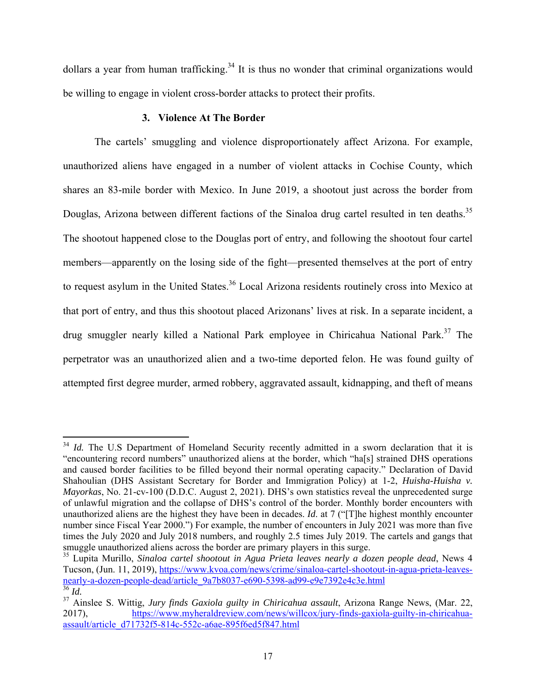dollars a year from human trafficking.<sup>34</sup> It is thus no wonder that criminal organizations would be willing to engage in violent cross-border attacks to protect their profits.

### **3. Violence At The Border**

The cartels' smuggling and violence disproportionately affect Arizona. For example, unauthorized aliens have engaged in a number of violent attacks in Cochise County, which shares an 83-mile border with Mexico. In June 2019, a shootout just across the border from Douglas, Arizona between different factions of the Sinaloa drug cartel resulted in ten deaths.<sup>35</sup> The shootout happened close to the Douglas port of entry, and following the shootout four cartel members—apparently on the losing side of the fight—presented themselves at the port of entry to request asylum in the United States.<sup>36</sup> Local Arizona residents routinely cross into Mexico at that port of entry, and thus this shootout placed Arizonans' lives at risk. In a separate incident, a drug smuggler nearly killed a National Park employee in Chiricahua National Park.<sup>37</sup> The perpetrator was an unauthorized alien and a two-time deported felon. He was found guilty of attempted first degree murder, armed robbery, aggravated assault, kidnapping, and theft of means

<sup>&</sup>lt;sup>34</sup> *Id.* The U.S Department of Homeland Security recently admitted in a sworn declaration that it is "encountering record numbers" unauthorized aliens at the border, which "ha[s] strained DHS operations and caused border facilities to be filled beyond their normal operating capacity." Declaration of David Shahoulian (DHS Assistant Secretary for Border and Immigration Policy) at 1-2, *Huisha-Huisha v. Mayorkas*, No. 21-cv-100 (D.D.C. August 2, 2021). DHS's own statistics reveal the unprecedented surge of unlawful migration and the collapse of DHS's control of the border. Monthly border encounters with unauthorized aliens are the highest they have been in decades. *Id*. at 7 ("[T]he highest monthly encounter number since Fiscal Year 2000.") For example, the number of encounters in July 2021 was more than five times the July 2020 and July 2018 numbers, and roughly 2.5 times July 2019. The cartels and gangs that smuggle unauthorized aliens across the border are primary players in this surge.

<sup>35</sup> Lupita Murillo, *Sinaloa cartel shootout in Agua Prieta leaves nearly a dozen people dead*, News 4 Tucson, (Jun. 11, 2019), https://www.kvoa.com/news/crime/sinaloa-cartel-shootout-in-agua-prieta-leaves-<br>nearly-a-dozen-people-dead/article\_9a7b8037-e690-5398-ad99-e9e7392e4c3e.html nearly-a-dozen-people-dead/article\_9a7b8037-e690-5398-ad99-e9e7392e4c3e.html 36 *Id.*

<sup>37</sup> Ainslee S. Wittig, *Jury finds Gaxiola guilty in Chiricahua assault*, Arizona Range News, (Mar. 22, 2017), https://www.myheraldreview.com/news/willcox/jury-finds-gaxiola-guilty-in-chiricahuaassault/article\_d71732f5-814c-552c-a6ae-895f6ed5f847.html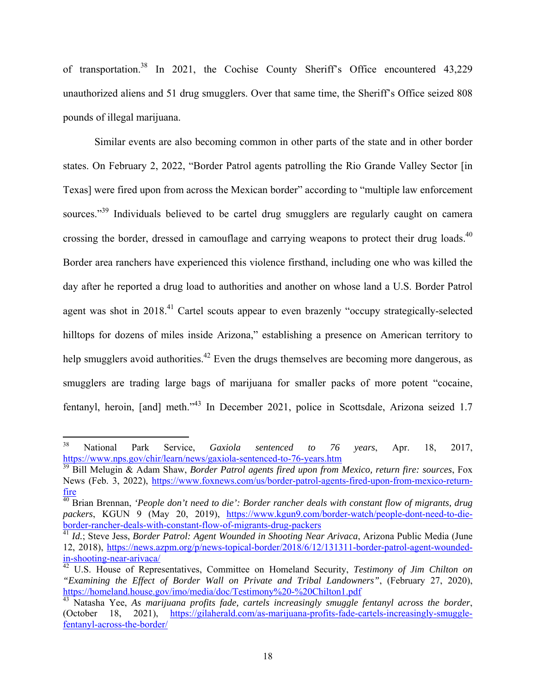of transportation.38 In 2021, the Cochise County Sheriff's Office encountered 43,229 unauthorized aliens and 51 drug smugglers. Over that same time, the Sheriff's Office seized 808 pounds of illegal marijuana.

Similar events are also becoming common in other parts of the state and in other border states. On February 2, 2022, "Border Patrol agents patrolling the Rio Grande Valley Sector [in Texas] were fired upon from across the Mexican border" according to "multiple law enforcement sources."<sup>39</sup> Individuals believed to be cartel drug smugglers are regularly caught on camera crossing the border, dressed in camouflage and carrying weapons to protect their drug loads.<sup>40</sup> Border area ranchers have experienced this violence firsthand, including one who was killed the day after he reported a drug load to authorities and another on whose land a U.S. Border Patrol agent was shot in 2018.<sup>41</sup> Cartel scouts appear to even brazenly "occupy strategically-selected hilltops for dozens of miles inside Arizona," establishing a presence on American territory to help smugglers avoid authorities.<sup>42</sup> Even the drugs themselves are becoming more dangerous, as smugglers are trading large bags of marijuana for smaller packs of more potent "cocaine, fentanyl, heroin, [and] meth."43 In December 2021, police in Scottsdale, Arizona seized 1.7

<sup>38</sup> National Park Service, *Gaxiola sentenced to 76 years*, Apr. 18, 2017, https://www.nps.gov/chir/learn/news/gaxiola-sentenced-to-76-years.htm 39 Bill Melugin & Adam Shaw, *Border Patrol agents fired upon from Mexico, return fire: sources*, Fox

News (Feb. 3, 2022), https://www.foxnews.com/us/border-patrol-agents-fired-upon-from-mexico-return-

fire 40 Brian Brennan, *'People don't need to die': Border rancher deals with constant flow of migrants, drug*  packers, KGUN 9 (May 20, 2019), https://www.kgun9.com/border-watch/people-dont-need-to-dieborder-rancher-deals-with-constant-flow-of-migrants-drug-packers 41 *Id.*; Steve Jess, *Border Patrol: Agent Wounded in Shooting Near Arivaca*, Arizona Public Media (June

<sup>12, 2018),</sup> https://news.azpm.org/p/news-topical-border/2018/6/12/131311-border-patrol-agent-woundedin-shooting-near-arivaca/ 42 U.S. House of Representatives, Committee on Homeland Security, *Testimony of Jim Chilton on* 

*<sup>&</sup>quot;Examining the Effect of Border Wall on Private and Tribal Landowners"*, (February 27, 2020),

<sup>&</sup>lt;sup>43</sup> Natasha Yee, *As marijuana profits fade, cartels increasingly smuggle fentanyl across the border,* (October 18, 2021), https://gilaherald.com/as-marijuana-profits-fade-cartels-increasingly-smugglefentanyl-across-the-border/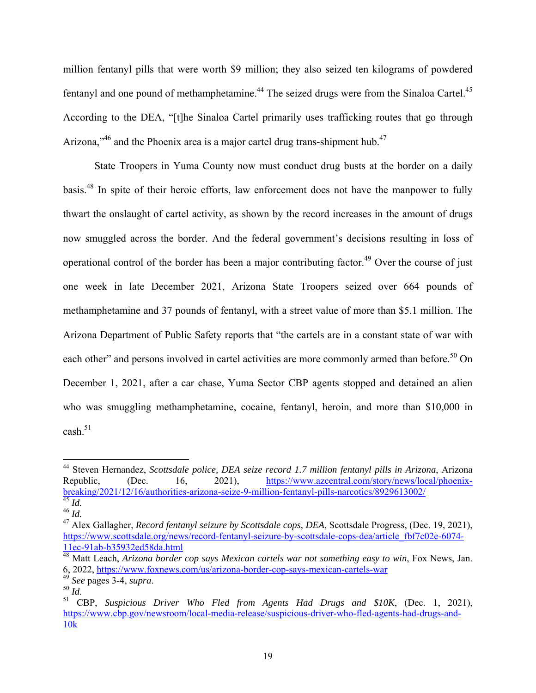million fentanyl pills that were worth \$9 million; they also seized ten kilograms of powdered fentanyl and one pound of methamphetamine.<sup>44</sup> The seized drugs were from the Sinaloa Cartel.<sup>45</sup> According to the DEA, "[t]he Sinaloa Cartel primarily uses trafficking routes that go through Arizona,"<sup>46</sup> and the Phoenix area is a major cartel drug trans-shipment hub.<sup>47</sup>

State Troopers in Yuma County now must conduct drug busts at the border on a daily basis.48 In spite of their heroic efforts, law enforcement does not have the manpower to fully thwart the onslaught of cartel activity, as shown by the record increases in the amount of drugs now smuggled across the border. And the federal government's decisions resulting in loss of operational control of the border has been a major contributing factor.<sup>49</sup> Over the course of just one week in late December 2021, Arizona State Troopers seized over 664 pounds of methamphetamine and 37 pounds of fentanyl, with a street value of more than \$5.1 million. The Arizona Department of Public Safety reports that "the cartels are in a constant state of war with each other" and persons involved in cartel activities are more commonly armed than before.<sup>50</sup> On December 1, 2021, after a car chase, Yuma Sector CBP agents stopped and detained an alien who was smuggling methamphetamine, cocaine, fentanyl, heroin, and more than \$10,000 in cash.<sup>51</sup>

<sup>44</sup> Steven Hernandez, *Scottsdale police, DEA seize record 1.7 million fentanyl pills in Arizona*, Arizona Republic, (Dec. 16, 2021), https://www.azcentral.com/story/news/local/phoenixbreaking/2021/12/16/authorities-arizona-seize-9-million-fentanyl-pills-narcotics/8929613002/ 45 *Id.*

 $^{46}$   $\overline{1}d$ .

<sup>47</sup> Alex Gallagher, *Record fentanyl seizure by Scottsdale cops, DEA*, Scottsdale Progress, (Dec. 19, 2021), https://www.scottsdale.org/news/record-fentanyl-seizure-by-scottsdale-cops-dea/article\_fbf7c02e-6074-11ec-91ab-b35932ed58da.html 48 Matt Leach, *Arizona border cop says Mexican cartels war not something easy to win*, Fox News, Jan.

<sup>6, 2022,</sup> https://www.foxnews.com/us/arizona-border-cop-says-mexican-cartels-war 49 *See* pages 3-4, *supra*. 50 *Id.*

<sup>51</sup> CBP, *Suspicious Driver Who Fled from Agents Had Drugs and \$10K*, (Dec. 1, 2021), https://www.cbp.gov/newsroom/local-media-release/suspicious-driver-who-fled-agents-had-drugs-and-10k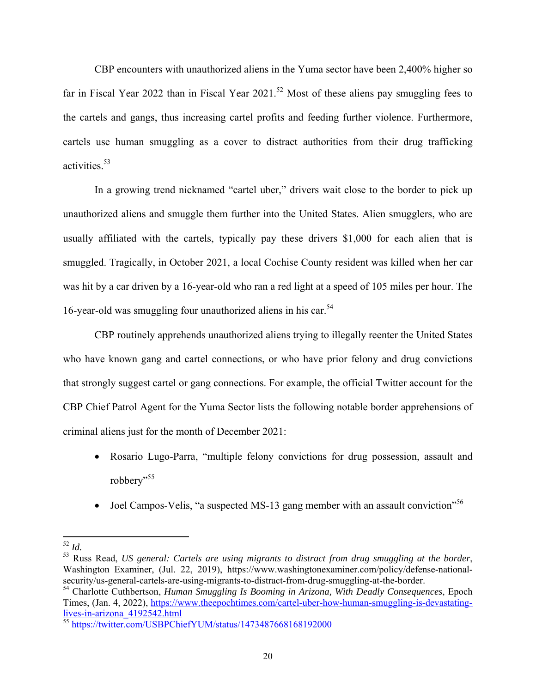CBP encounters with unauthorized aliens in the Yuma sector have been 2,400% higher so far in Fiscal Year 2022 than in Fiscal Year  $2021$ .<sup>52</sup> Most of these aliens pay smuggling fees to the cartels and gangs, thus increasing cartel profits and feeding further violence. Furthermore, cartels use human smuggling as a cover to distract authorities from their drug trafficking activities.53

In a growing trend nicknamed "cartel uber," drivers wait close to the border to pick up unauthorized aliens and smuggle them further into the United States. Alien smugglers, who are usually affiliated with the cartels, typically pay these drivers \$1,000 for each alien that is smuggled. Tragically, in October 2021, a local Cochise County resident was killed when her car was hit by a car driven by a 16-year-old who ran a red light at a speed of 105 miles per hour. The 16-year-old was smuggling four unauthorized aliens in his car.<sup>54</sup>

CBP routinely apprehends unauthorized aliens trying to illegally reenter the United States who have known gang and cartel connections, or who have prior felony and drug convictions that strongly suggest cartel or gang connections. For example, the official Twitter account for the CBP Chief Patrol Agent for the Yuma Sector lists the following notable border apprehensions of criminal aliens just for the month of December 2021:

- Rosario Lugo-Parra, "multiple felony convictions for drug possession, assault and robbery"<sup>55</sup>
- $\bullet$  Joel Campos-Velis, "a suspected MS-13 gang member with an assault conviction"<sup>56</sup>

 <sup>52</sup> *Id.*

<sup>53</sup> Russ Read, *US general: Cartels are using migrants to distract from drug smuggling at the border*, Washington Examiner, (Jul. 22, 2019), https://www.washingtonexaminer.com/policy/defense-nationalsecurity/us-general-cartels-are-using-migrants-to-distract-from-drug-smuggling-at-the-border.

<sup>54</sup> Charlotte Cuthbertson, *Human Smuggling Is Booming in Arizona, With Deadly Consequences*, Epoch Times, (Jan. 4, 2022), https://www.theepochtimes.com/cartel-uber-how-human-smuggling-is-devastating-<br>lives-in-arizona 4192542.html

 $\frac{11925 \text{ m/m}^2}{55}$ https://twitter.com/USBPChiefYUM/status/1473487668168192000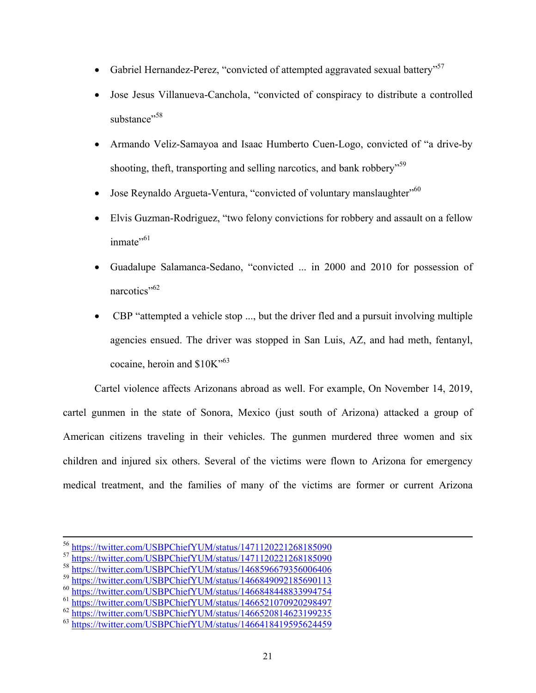- Gabriel Hernandez-Perez, "convicted of attempted aggravated sexual battery"<sup>57</sup>
- Jose Jesus Villanueva-Canchola, "convicted of conspiracy to distribute a controlled substance"<sup>58</sup>
- Armando Veliz-Samayoa and Isaac Humberto Cuen-Logo, convicted of "a drive-by shooting, theft, transporting and selling narcotics, and bank robbery<sup>"59</sup>
- Jose Reynaldo Argueta-Ventura, "convicted of voluntary manslaughter"<sup>560</sup>
- Elvis Guzman-Rodriguez, "two felony convictions for robbery and assault on a fellow inmate $"$ <sup>61</sup>
- Guadalupe Salamanca-Sedano, "convicted ... in 2000 and 2010 for possession of narcotics"<sup>62</sup>
- CBP "attempted a vehicle stop ..., but the driver fled and a pursuit involving multiple agencies ensued. The driver was stopped in San Luis, AZ, and had meth, fentanyl, cocaine, heroin and  $$10K$ <sup>53</sup>

Cartel violence affects Arizonans abroad as well. For example, On November 14, 2019, cartel gunmen in the state of Sonora, Mexico (just south of Arizona) attacked a group of American citizens traveling in their vehicles. The gunmen murdered three women and six children and injured six others. Several of the victims were flown to Arizona for emergency medical treatment, and the families of many of the victims are former or current Arizona

<sup>&</sup>lt;sup>56</sup> https://twitter.com/USBPChiefYUM/status/1471120221268185090<br><sup>57</sup> https://twitter.com/USBPChiefYUM/status/1471120221268185090<br><sup>88</sup> https://twitter.com/USBPChiefYUM/status/1468596679356006406<br><sup>59</sup> https://twitter.com/US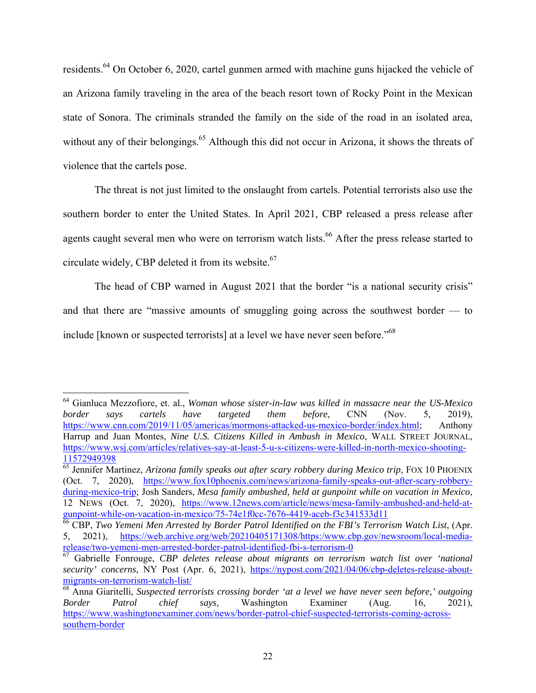residents.<sup>64</sup> On October 6, 2020, cartel gunmen armed with machine guns hijacked the vehicle of an Arizona family traveling in the area of the beach resort town of Rocky Point in the Mexican state of Sonora. The criminals stranded the family on the side of the road in an isolated area, without any of their belongings.<sup>65</sup> Although this did not occur in Arizona, it shows the threats of violence that the cartels pose.

The threat is not just limited to the onslaught from cartels. Potential terrorists also use the southern border to enter the United States. In April 2021, CBP released a press release after agents caught several men who were on terrorism watch lists.<sup>66</sup> After the press release started to circulate widely, CBP deleted it from its website.<sup>67</sup>

The head of CBP warned in August 2021 that the border "is a national security crisis" and that there are "massive amounts of smuggling going across the southwest border — to include [known or suspected terrorists] at a level we have never seen before."<sup>68</sup>

 64 Gianluca Mezzofiore, et. al*.*, *Woman whose sister-in-law was killed in massacre near the US-Mexico border says cartels have targeted them before*, CNN (Nov. 5, 2019), https://www.cnn.com/2019/11/05/americas/mormons-attacked-us-mexico-border/index.html; Anthony Harrup and Juan Montes, *Nine U.S. Citizens Killed in Ambush in Mexico*, WALL STREET JOURNAL, https://www.wsj.com/articles/relatives-say-at-least-5-u-s-citizens-were-killed-in-north-mexico-shooting-<br>11572949398

<sup>&</sup>lt;sup>65</sup> Jennifer Martinez, *Arizona family speaks out after scary robbery during Mexico trip*, FOX 10 PHOENIX (Oct. 7, 2020), https://www.fox10phoenix.com/news/arizona-family-speaks-out-after-scary-robberyduring-mexico-trip; Josh Sanders, *Mesa family ambushed, held at gunpoint while on vacation in Mexico*, 12 NEWS (Oct. 7, 2020), https://www.12news.com/article/news/mesa-family-ambushed-and-held-atgunpoint-while-on-vacation-in-mexico/75-74e1f0cc-7676-4419-aceb-f3c341533d11 66 CBP, *Two Yemeni Men Arrested by Border Patrol Identified on the FBI's Terrorism Watch List*, (Apr.

<sup>5, 2021),</sup> https://web.archive.org/web/20210405171308/https:/www.cbp.gov/newsroom/local-mediarelease/two-yemeni-men-arrested-border-patrol-identified-fbi-s-terrorism-0<br><sup>67</sup> Gabrielle Fonrouge, *CBP deletes release about migrants on terrorism watch list over 'national* 

*security' concerns*, NY Post (Apr. 6, 2021), https://nypost.com/2021/04/06/cbp-deletes-release-aboutmigrants-on-terrorism-watch-list/ 68 Anna Giaritelli, *Suspected terrorists crossing border 'at a level we have never seen before,' outgoing* 

*Border Patrol chief says*, Washington Examiner (Aug. 16, 2021), https://www.washingtonexaminer.com/news/border-patrol-chief-suspected-terrorists-coming-acrosssouthern-border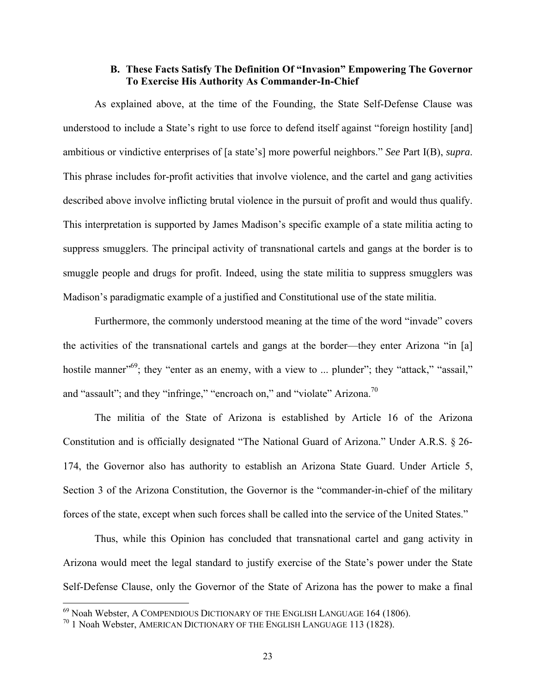### **B. These Facts Satisfy The Definition Of "Invasion" Empowering The Governor To Exercise His Authority As Commander-In-Chief**

As explained above, at the time of the Founding, the State Self-Defense Clause was understood to include a State's right to use force to defend itself against "foreign hostility [and] ambitious or vindictive enterprises of [a state's] more powerful neighbors." *See* Part I(B), *supra*. This phrase includes for-profit activities that involve violence, and the cartel and gang activities described above involve inflicting brutal violence in the pursuit of profit and would thus qualify. This interpretation is supported by James Madison's specific example of a state militia acting to suppress smugglers. The principal activity of transnational cartels and gangs at the border is to smuggle people and drugs for profit. Indeed, using the state militia to suppress smugglers was Madison's paradigmatic example of a justified and Constitutional use of the state militia.

Furthermore, the commonly understood meaning at the time of the word "invade" covers the activities of the transnational cartels and gangs at the border—they enter Arizona "in [a] hostile manner"<sup>69</sup>; they "enter as an enemy, with a view to ... plunder"; they "attack," "assail," and "assault"; and they "infringe," "encroach on," and "violate" Arizona.<sup>70</sup>

The militia of the State of Arizona is established by Article 16 of the Arizona Constitution and is officially designated "The National Guard of Arizona." Under A.R.S. § 26- 174, the Governor also has authority to establish an Arizona State Guard. Under Article 5, Section 3 of the Arizona Constitution, the Governor is the "commander-in-chief of the military forces of the state, except when such forces shall be called into the service of the United States."

Thus, while this Opinion has concluded that transnational cartel and gang activity in Arizona would meet the legal standard to justify exercise of the State's power under the State Self-Defense Clause, only the Governor of the State of Arizona has the power to make a final

 $^{69}$  Noah Webster, A COMPENDIOUS DICTIONARY OF THE ENGLISH LANGUAGE 164 (1806).

 $70$  1 Noah Webster, AMERICAN DICTIONARY OF THE ENGLISH LANGUAGE 113 (1828).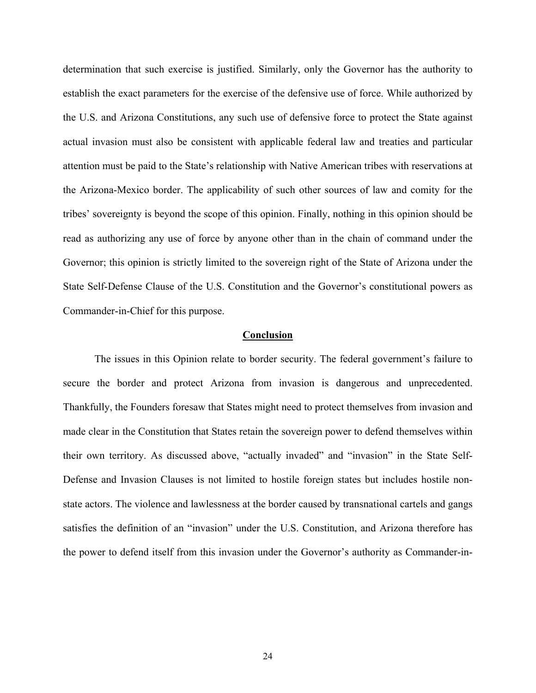determination that such exercise is justified. Similarly, only the Governor has the authority to establish the exact parameters for the exercise of the defensive use of force. While authorized by the U.S. and Arizona Constitutions, any such use of defensive force to protect the State against actual invasion must also be consistent with applicable federal law and treaties and particular attention must be paid to the State's relationship with Native American tribes with reservations at the Arizona-Mexico border. The applicability of such other sources of law and comity for the tribes' sovereignty is beyond the scope of this opinion. Finally, nothing in this opinion should be read as authorizing any use of force by anyone other than in the chain of command under the Governor; this opinion is strictly limited to the sovereign right of the State of Arizona under the State Self-Defense Clause of the U.S. Constitution and the Governor's constitutional powers as Commander-in-Chief for this purpose.

#### **Conclusion**

 The issues in this Opinion relate to border security. The federal government's failure to secure the border and protect Arizona from invasion is dangerous and unprecedented. Thankfully, the Founders foresaw that States might need to protect themselves from invasion and made clear in the Constitution that States retain the sovereign power to defend themselves within their own territory. As discussed above, "actually invaded" and "invasion" in the State Self-Defense and Invasion Clauses is not limited to hostile foreign states but includes hostile nonstate actors. The violence and lawlessness at the border caused by transnational cartels and gangs satisfies the definition of an "invasion" under the U.S. Constitution, and Arizona therefore has the power to defend itself from this invasion under the Governor's authority as Commander-in